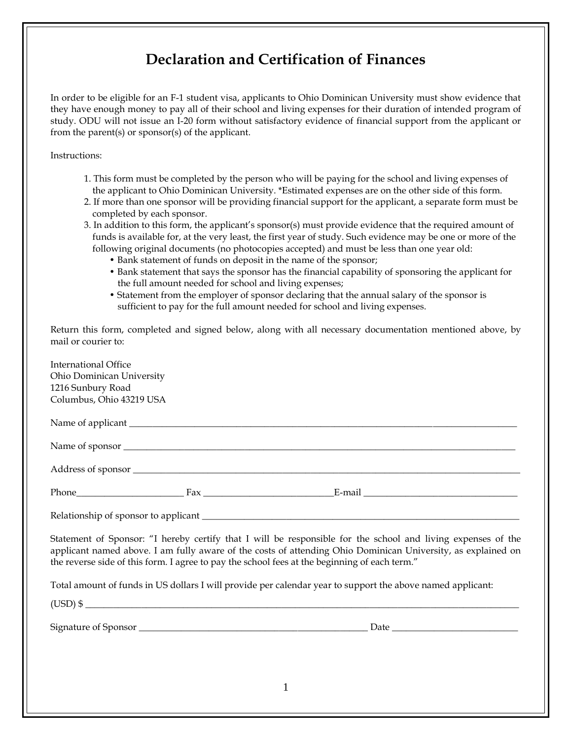## **Declaration and Certification of Finances**

In order to be eligible for an F-1 student visa, applicants to Ohio Dominican University must show evidence that they have enough money to pay all of their school and living expenses for their duration of intended program of study. ODU will not issue an I-20 form without satisfactory evidence of financial support from the applicant or from the parent(s) or sponsor(s) of the applicant.

Instructions:

- 1. This form must be completed by the person who will be paying for the school and living expenses of the applicant to Ohio Dominican University. \*Estimated expenses are on the other side of this form.
- 2. If more than one sponsor will be providing financial support for the applicant, a separate form must be completed by each sponsor.
- 3. In addition to this form, the applicant's sponsor(s) must provide evidence that the required amount of funds is available for, at the very least, the first year of study. Such evidence may be one or more of the following original documents (no photocopies accepted) and must be less than one year old:
	- Bank statement of funds on deposit in the name of the sponsor;
	- Bank statement that says the sponsor has the financial capability of sponsoring the applicant for the full amount needed for school and living expenses;
	- Statement from the employer of sponsor declaring that the annual salary of the sponsor is sufficient to pay for the full amount needed for school and living expenses.

Return this form, completed and signed below, along with all necessary documentation mentioned above, by mail or courier to:

| <b>International Office</b> |                                                                                                                                                                                                                                                                                                                               |
|-----------------------------|-------------------------------------------------------------------------------------------------------------------------------------------------------------------------------------------------------------------------------------------------------------------------------------------------------------------------------|
| Ohio Dominican University   |                                                                                                                                                                                                                                                                                                                               |
| 1216 Sunbury Road           |                                                                                                                                                                                                                                                                                                                               |
| Columbus, Ohio 43219 USA    |                                                                                                                                                                                                                                                                                                                               |
|                             |                                                                                                                                                                                                                                                                                                                               |
|                             |                                                                                                                                                                                                                                                                                                                               |
|                             |                                                                                                                                                                                                                                                                                                                               |
|                             |                                                                                                                                                                                                                                                                                                                               |
|                             |                                                                                                                                                                                                                                                                                                                               |
|                             | Statement of Sponsor: "I hereby certify that I will be responsible for the school and living expenses of the<br>applicant named above. I am fully aware of the costs of attending Ohio Dominican University, as explained on<br>the reverse side of this form. I agree to pay the school fees at the beginning of each term." |
|                             | Total amount of funds in US dollars I will provide per calendar year to support the above named applicant:                                                                                                                                                                                                                    |
|                             |                                                                                                                                                                                                                                                                                                                               |
|                             |                                                                                                                                                                                                                                                                                                                               |
|                             |                                                                                                                                                                                                                                                                                                                               |
|                             |                                                                                                                                                                                                                                                                                                                               |
|                             | 1                                                                                                                                                                                                                                                                                                                             |